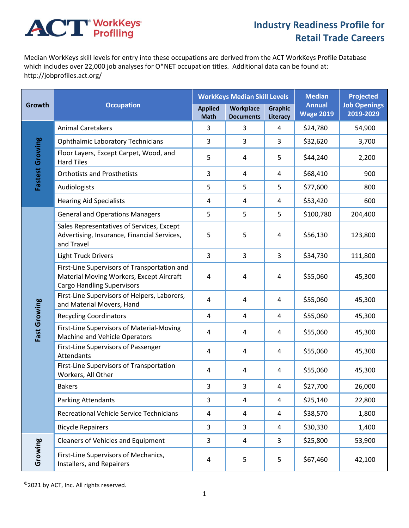## **ACT** WorkKeys

## **Industry Readiness Profile for Retail Trade Careers**

Median WorkKeys skill levels for entry into these occupations are derived from the ACT WorkKeys Profile Database which includes over 22,000 job analyses for O\*NET occupation titles. Additional data can be found at: http://jobprofiles.act.org/

| Growth          | <b>Occupation</b>                                                                                                             | <b>WorkKeys Median Skill Levels</b> |                               |                                   | <b>Median</b>                     | <b>Projected</b>                 |
|-----------------|-------------------------------------------------------------------------------------------------------------------------------|-------------------------------------|-------------------------------|-----------------------------------|-----------------------------------|----------------------------------|
|                 |                                                                                                                               | <b>Applied</b><br><b>Math</b>       | Workplace<br><b>Documents</b> | <b>Graphic</b><br><b>Literacy</b> | <b>Annual</b><br><b>Wage 2019</b> | <b>Job Openings</b><br>2019-2029 |
| Fastest Growing | <b>Animal Caretakers</b>                                                                                                      | 3                                   | 3                             | 4                                 | \$24,780                          | 54,900                           |
|                 | <b>Ophthalmic Laboratory Technicians</b>                                                                                      | 3                                   | 3                             | 3                                 | \$32,620                          | 3,700                            |
|                 | Floor Layers, Except Carpet, Wood, and<br><b>Hard Tiles</b>                                                                   | 5                                   | 4                             | 5                                 | \$44,240                          | 2,200                            |
|                 | <b>Orthotists and Prosthetists</b>                                                                                            | 3                                   | 4                             | 4                                 | \$68,410                          | 900                              |
|                 | Audiologists                                                                                                                  | 5                                   | 5                             | 5                                 | \$77,600                          | 800                              |
|                 | <b>Hearing Aid Specialists</b>                                                                                                | $\overline{4}$                      | 4                             | 4                                 | \$53,420                          | 600                              |
| Fast Growing    | <b>General and Operations Managers</b>                                                                                        | 5                                   | 5                             | 5                                 | \$100,780                         | 204,400                          |
|                 | Sales Representatives of Services, Except<br>Advertising, Insurance, Financial Services,<br>and Travel                        | 5                                   | 5                             | 4                                 | \$56,130                          | 123,800                          |
|                 | <b>Light Truck Drivers</b>                                                                                                    | 3                                   | 3                             | 3                                 | \$34,730                          | 111,800                          |
|                 | First-Line Supervisors of Transportation and<br>Material Moving Workers, Except Aircraft<br><b>Cargo Handling Supervisors</b> | $\sqrt{4}$                          | 4                             | 4                                 | \$55,060                          | 45,300                           |
|                 | First-Line Supervisors of Helpers, Laborers,<br>and Material Movers, Hand                                                     | $\overline{4}$                      | 4                             | 4                                 | \$55,060                          | 45,300                           |
|                 | <b>Recycling Coordinators</b>                                                                                                 | $\overline{4}$                      | 4                             | 4                                 | \$55,060                          | 45,300                           |
|                 | First-Line Supervisors of Material-Moving<br>Machine and Vehicle Operators                                                    | 4                                   | 4                             | 4                                 | \$55,060                          | 45,300                           |
|                 | First-Line Supervisors of Passenger<br>Attendants                                                                             | 4                                   | 4                             | 4                                 | \$55,060                          | 45,300                           |
|                 | First-Line Supervisors of Transportation<br>Workers, All Other                                                                | 4                                   | 4                             | 4                                 | \$55,060                          | 45,300                           |
|                 | <b>Bakers</b>                                                                                                                 | 3                                   | 3                             | 4                                 | \$27,700                          | 26,000                           |
|                 | Parking Attendants                                                                                                            | 3                                   | 4                             | 4                                 | \$25,140                          | 22,800                           |
|                 | Recreational Vehicle Service Technicians                                                                                      | 4                                   | 4                             | 4                                 | \$38,570                          | 1,800                            |
|                 | <b>Bicycle Repairers</b>                                                                                                      | 3                                   | 3                             | 4                                 | \$30,330                          | 1,400                            |
| Growing         | <b>Cleaners of Vehicles and Equipment</b>                                                                                     | 3                                   | 4                             | 3                                 | \$25,800                          | 53,900                           |
|                 | First-Line Supervisors of Mechanics,<br>Installers, and Repairers                                                             | 4                                   | 5                             | 5                                 | \$67,460                          | 42,100                           |

©2021 by ACT, Inc. All rights reserved.